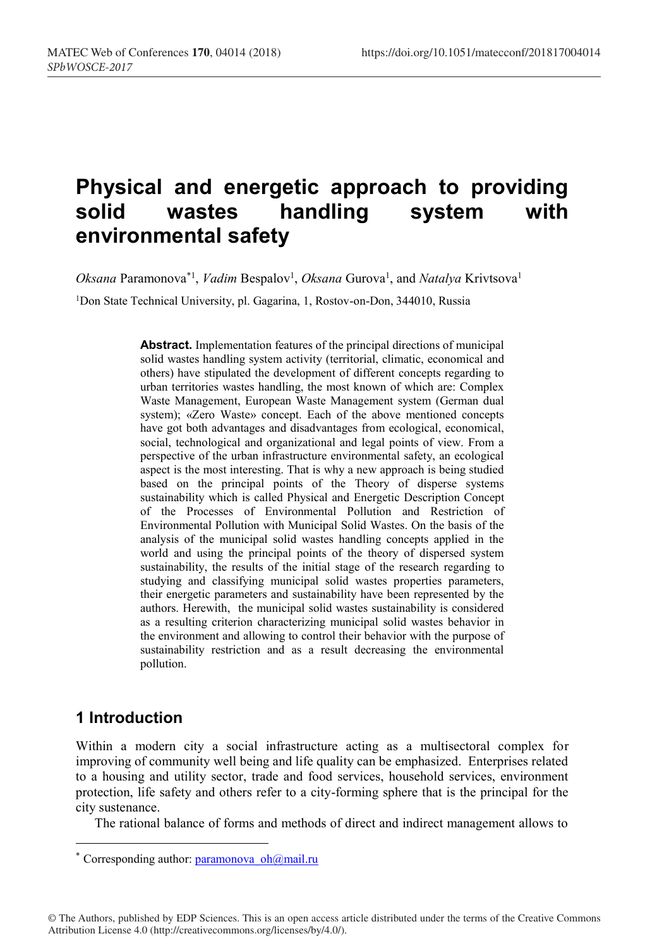# **Physical and energetic approach to providing solid wastes handling system with environmental safety**

Oksana Paramonova<sup>\*1</sup>, *Vadim* Bespalov<sup>1</sup>, Oksana Gurova<sup>1</sup>, and *Natalya* Krivtsova<sup>1</sup>

<sup>1</sup>Don State Technical University, pl. Gagarina, 1, Rostov-on-Don, 344010, Russia

**Abstract.** Implementation features of the principal directions of municipal solid wastes handling system activity (territorial, climatic, economical and others) have stipulated the development of different concepts regarding to urban territories wastes handling, the most known of which are: Complex Waste Management, European Waste Management system (German dual system); «Zero Waste» concept. Each of the above mentioned concepts have got both advantages and disadvantages from ecological, economical, social, technological and organizational and legal points of view. From a perspective of the urban infrastructure environmental safety, an ecological aspect is the most interesting. That is why a new approach is being studied based on the principal points of the Theory of disperse systems sustainability which is called Physical and Energetic Description Concept of the Processes of Environmental Pollution and Restriction of Environmental Pollution with Municipal Solid Wastes. On the basis of the analysis of the municipal solid wastes handling concepts applied in the world and using the principal points of the theory of dispersed system sustainability, the results of the initial stage of the research regarding to studying and classifying municipal solid wastes properties parameters, their energetic parameters and sustainability have been represented by the authors. Herewith, the municipal solid wastes sustainability is considered as a resulting criterion characterizing municipal solid wastes behavior in the environment and allowing to control their behavior with the purpose of sustainability restriction and as a result decreasing the environmental pollution.

## **1 Introduction**

Within a modern city a social infrastructure acting as a multisectoral complex for improving of community well being and life quality can be emphasized. Enterprises related to a housing and utility sector, trade and food services, household services, environment protection, life safety and others refer to a city-forming sphere that is the principal for the city sustenance.

The rational balance of forms and methods of direct and indirect management allows to

© The Authors, published by EDP Sciences. This is an open access article distributed under the terms of the Creative Commons Attribution License 4.0 (http://creativecommons.org/licenses/by/4.0/).

<sup>\*</sup> Corresponding author: paramonova\_oh@mail.ru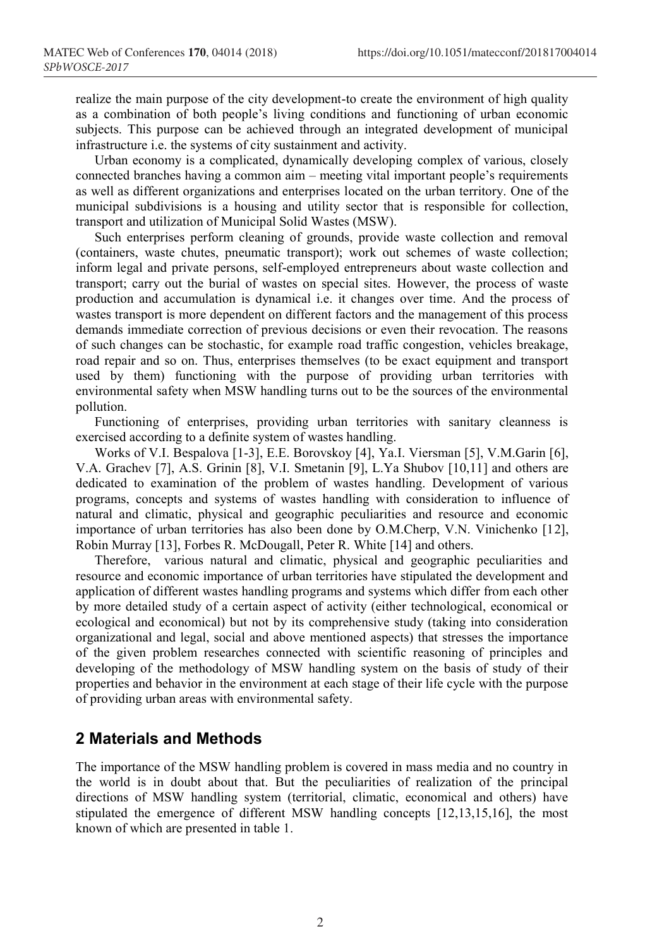realize the main purpose of the city development-to create the environment of high quality as a combination of both people's living conditions and functioning of urban economic subjects. This purpose can be achieved through an integrated development of municipal infrastructure i.e. the systems of city sustainment and activity.

Urban economy is a complicated, dynamically developing complex of various, closely connected branches having a common aim – meeting vital important people's requirements as well as different organizations and enterprises located on the urban territory. One of the municipal subdivisions is a housing and utility sector that is responsible for collection, transport and utilization of Municipal Solid Wastes (MSW).

Such enterprises perform cleaning of grounds, provide waste collection and removal (containers, waste chutes, pneumatic transport); work out schemes of waste collection; inform legal and private persons, self-employed entrepreneurs about waste collection and transport; carry out the burial of wastes on special sites. However, the process of waste production and accumulation is dynamical i.e. it changes over time. And the process of wastes transport is more dependent on different factors and the management of this process demands immediate correction of previous decisions or even their revocation. The reasons of such changes can be stochastic, for example road traffic congestion, vehicles breakage, road repair and so on. Thus, enterprises themselves (to be exact equipment and transport used by them) functioning with the purpose of providing urban territories with environmental safety when MSW handling turns out to be the sources of the environmental pollution.

Functioning of enterprises, providing urban territories with sanitary cleanness is exercised according to a definite system of wastes handling.

Works of V.I. Bespalova [1-3], E.E. Borovskoy [4], Ya.I. Viersman [5], V.M.Garin [6], V.A. Grachev [7], A.S. Grinin [8], V.I. Smetanin [9], L.Ya Shubov [10,11] and others are dedicated to examination of the problem of wastes handling. Development of various programs, concepts and systems of wastes handling with consideration to influence of natural and climatic, physical and geographic peculiarities and resource and economic importance of urban territories has also been done by O.M.Cherp, V.N. Vinichenko [12], Robin Murray [13], Forbes R. McDougall, Peter R. White [14] and others.

Therefore, various natural and climatic, physical and geographic peculiarities and resource and economic importance of urban territories have stipulated the development and application of different wastes handling programs and systems which differ from each other by more detailed study of a certain aspect of activity (either technological, economical or ecological and economical) but not by its comprehensive study (taking into consideration organizational and legal, social and above mentioned aspects) that stresses the importance of the given problem researches connected with scientific reasoning of principles and developing of the methodology of MSW handling system on the basis of study of their properties and behavior in the environment at each stage of their life cycle with the purpose of providing urban areas with environmental safety.

#### **2 Materials and Methods**

The importance of the MSW handling problem is covered in mass media and no country in the world is in doubt about that. But the peculiarities of realization of the principal directions of MSW handling system (territorial, climatic, economical and others) have stipulated the emergence of different MSW handling concepts [12,13,15,16], the most known of which are presented in table 1.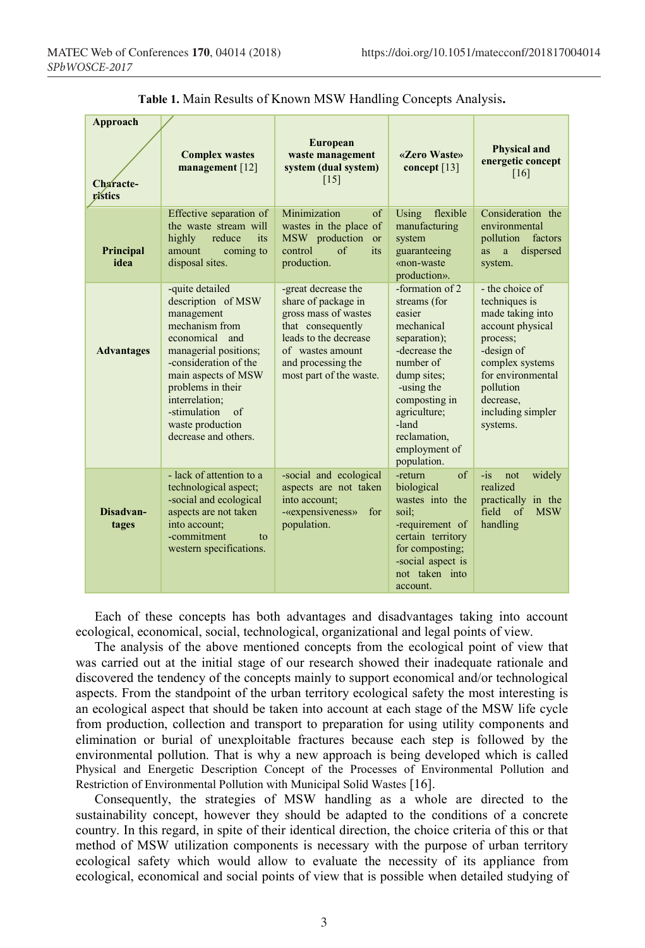| <b>Approach</b><br>Characte-<br>vístics | <b>Complex wastes</b><br>management [12]                                                                                                                                                                                                                                        | <b>European</b><br>waste management<br>system (dual system)<br>[15]                                                                                                                   | «Zero Waste»<br>concept $[13]$                                                                                                                                                                                               | <b>Physical and</b><br>energetic concept<br>[16]                                                                                                                                                      |
|-----------------------------------------|---------------------------------------------------------------------------------------------------------------------------------------------------------------------------------------------------------------------------------------------------------------------------------|---------------------------------------------------------------------------------------------------------------------------------------------------------------------------------------|------------------------------------------------------------------------------------------------------------------------------------------------------------------------------------------------------------------------------|-------------------------------------------------------------------------------------------------------------------------------------------------------------------------------------------------------|
| <b>Principal</b><br>idea                | Effective separation of<br>the waste stream will<br>its<br>highly<br>reduce<br>amount<br>coming to<br>disposal sites.                                                                                                                                                           | Minimization<br>of<br>wastes in the place of<br>MSW production<br>or<br>control<br>$\alpha$ f<br>its<br>production.                                                                   | flexible<br>Using<br>manufacturing<br>system<br>guaranteeing<br>«non-waste<br>production».                                                                                                                                   | Consideration the<br>environmental<br>pollution<br>factors<br>dispersed<br>a<br>as<br>system.                                                                                                         |
| <b>Advantages</b>                       | -quite detailed<br>description of MSW<br>management<br>mechanism from<br>economical and<br>managerial positions;<br>-consideration of the<br>main aspects of MSW<br>problems in their<br>interrelation;<br>-stimulation<br>$\sigma$<br>waste production<br>decrease and others. | -great decrease the<br>share of package in<br>gross mass of wastes<br>that consequently<br>leads to the decrease<br>of wastes amount<br>and processing the<br>most part of the waste. | -formation of 2<br>streams (for<br>easier<br>mechanical<br>separation);<br>-decrease the<br>number of<br>dump sites;<br>-using the<br>composting in<br>agriculture;<br>-land<br>reclamation,<br>employment of<br>population. | - the choice of<br>techniques is<br>made taking into<br>account physical<br>process:<br>-design of<br>complex systems<br>for environmental<br>pollution<br>decrease.<br>including simpler<br>systems. |
| Disadvan-<br>tages                      | - lack of attention to a<br>technological aspect;<br>-social and ecological<br>aspects are not taken<br>into account;<br>-commitment<br>to<br>western specifications.                                                                                                           | -social and ecological<br>aspects are not taken<br>into account;<br>-«expensiveness»<br>for<br>population.                                                                            | $\sigma$ f<br>-return<br>biological<br>wastes into the<br>soil:<br>-requirement of<br>certain territory<br>for composting;<br>-social aspect is<br>not taken into<br>account.                                                | $-1S$<br>widely<br>not<br>realized<br>practically in the<br>field of<br><b>MSW</b><br>handling                                                                                                        |

**Table 1.** Main Results of Known MSW Handling Concepts Analysis**.**

Each of these concepts has both advantages and disadvantages taking into account ecological, economical, social, technological, organizational and legal points of view.

The analysis of the above mentioned concepts from the ecological point of view that was carried out at the initial stage of our research showed their inadequate rationale and discovered the tendency of the concepts mainly to support economical and/or technological aspects. From the standpoint of the urban territory ecological safety the most interesting is an ecological aspect that should be taken into account at each stage of the MSW life cycle from production, collection and transport to preparation for using utility components and elimination or burial of unexploitable fractures because each step is followed by the environmental pollution. That is why a new approach is being developed which is called Physical and Energetic Description Concept of the Processes of Environmental Pollution and Restriction of Environmental Pollution with Municipal Solid Wastes [16].

Consequently, the strategies of MSW handling as a whole are directed to the sustainability concept, however they should be adapted to the conditions of a concrete country. In this regard, in spite of their identical direction, the choice criteria of this or that method of MSW utilization components is necessary with the purpose of urban territory ecological safety which would allow to evaluate the necessity of its appliance from ecological, economical and social points of view that is possible when detailed studying of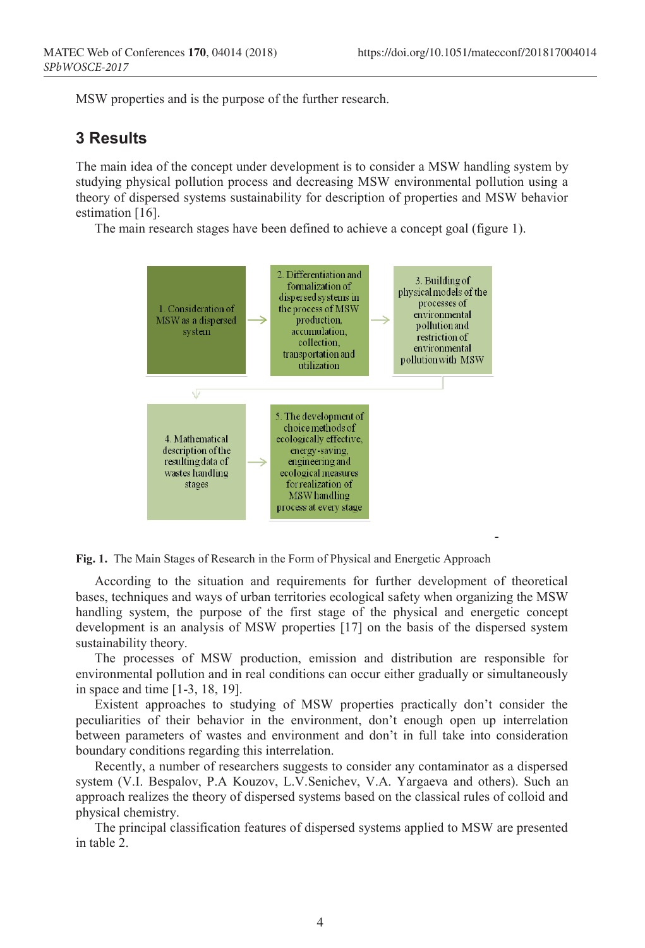MSW properties and is the purpose of the further research.

### **3 Results**

The main idea of the concept under development is to consider a MSW handling system by studying physical pollution process and decreasing MSW environmental pollution using a theory of dispersed systems sustainability for description of properties and MSW behavior estimation [16].

The main research stages have been defined to achieve a concept goal (figure 1).



**Fig. 1.** The Main Stages of Research in the Form of Physical and Energetic Approach

According to the situation and requirements for further development of theoretical bases, techniques and ways of urban territories ecological safety when organizing the MSW handling system, the purpose of the first stage of the physical and energetic concept development is an analysis of MSW properties [17] on the basis of the dispersed system sustainability theory.

The processes of MSW production, emission and distribution are responsible for environmental pollution and in real conditions can occur either gradually or simultaneously in space and time [1-3, 18, 19].

Existent approaches to studying of MSW properties practically don't consider the peculiarities of their behavior in the environment, don't enough open up interrelation between parameters of wastes and environment and don't in full take into consideration boundary conditions regarding this interrelation.

Recently, a number of researchers suggests to consider any contaminator as a dispersed system (V.I. Bespalov, P.A Kouzov, L.V.Senichev, V.A. Yargaeva and others). Such an approach realizes the theory of dispersed systems based on the classical rules of colloid and physical chemistry.

The principal classification features of dispersed systems applied to MSW are presented in table 2.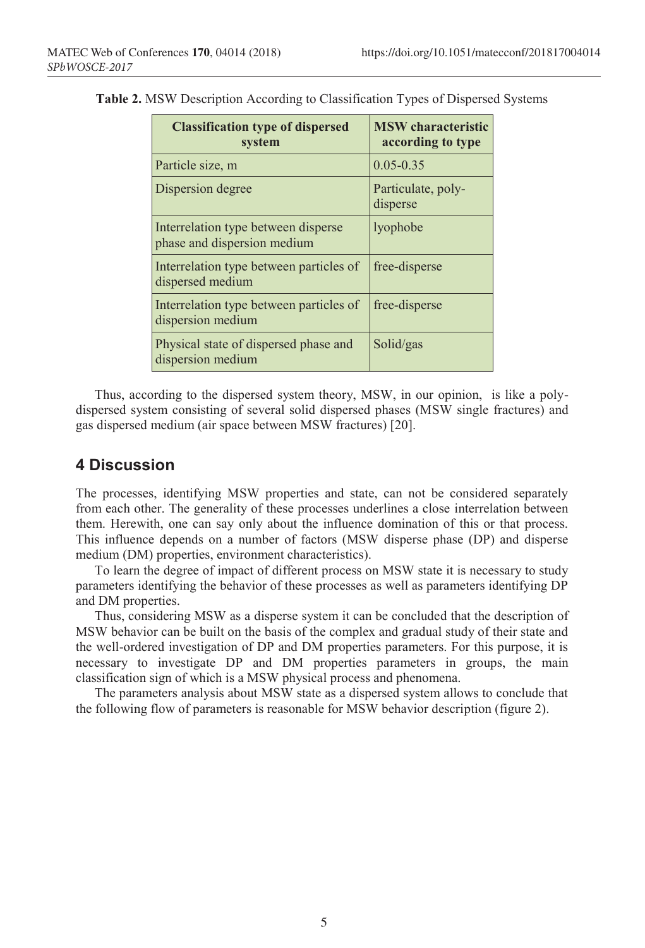| <b>Classification type of dispersed</b><br>system                  | <b>MSW</b> characteristic<br>according to type |  |
|--------------------------------------------------------------------|------------------------------------------------|--|
| Particle size, m                                                   | $0.05 - 0.35$                                  |  |
| Dispersion degree                                                  | Particulate, poly-<br>disperse                 |  |
| Interrelation type between disperse<br>phase and dispersion medium | lyophobe                                       |  |
| Interrelation type between particles of<br>dispersed medium        | free-disperse                                  |  |
| Interrelation type between particles of<br>dispersion medium       | free-disperse                                  |  |
| Physical state of dispersed phase and<br>dispersion medium         | Solid/gas                                      |  |

**Table 2.** MSW Description According to Classification Types of Dispersed Systems

Thus, according to the dispersed system theory, MSW, in our opinion, is like a polydispersed system consisting of several solid dispersed phases (MSW single fractures) and gas dispersed medium (air space between MSW fractures) [20].

### **4 Discussion**

The processes, identifying MSW properties and state, can not be considered separately from each other. The generality of these processes underlines a close interrelation between them. Herewith, one can say only about the influence domination of this or that process. This influence depends on a number of factors (MSW disperse phase (DP) and disperse medium (DM) properties, environment characteristics).

To learn the degree of impact of different process on MSW state it is necessary to study parameters identifying the behavior of these processes as well as parameters identifying DP and DM properties.

Thus, considering MSW as a disperse system it can be concluded that the description of MSW behavior can be built on the basis of the complex and gradual study of their state and the well-ordered investigation of DP and DM properties parameters. For this purpose, it is necessary to investigate DP and DM properties parameters in groups, the main classification sign of which is a MSW physical process and phenomena.

The parameters analysis about MSW state as a dispersed system allows to conclude that the following flow of parameters is reasonable for MSW behavior description (figure 2).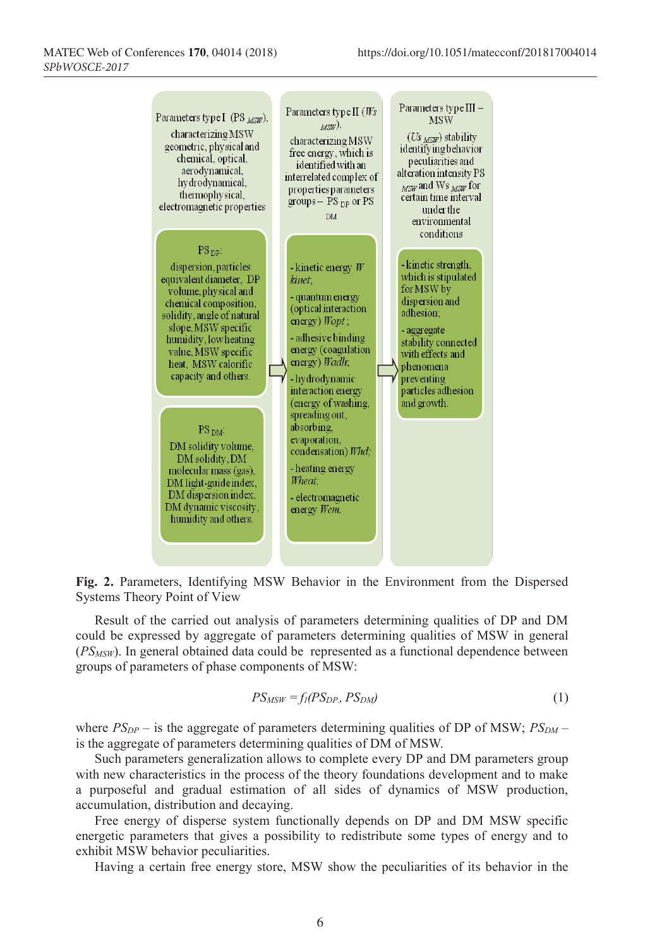

**Fig. 2.** Parameters, Identifying MSW Behavior in the Environment from the Dispersed Systems Theory Point of View

Result of the carried out analysis of parameters determining qualities of DP and DM could be expressed by aggregate of parameters determining qualities of MSW in general (*PSMSW*). In general obtained data could be represented as a functional dependence between groups of parameters of phase components of MSW:

$$
PS_{MSW} = f_l(PS_{DP}, PS_{DM})
$$
\n<sup>(1)</sup>

where  $PS_{DP}$  – is the aggregate of parameters determining qualities of DP of MSW;  $PS_{DM}$  – is the aggregate of parameters determining qualities of DM of MSW.

Such parameters generalization allows to complete every DP and DM parameters group with new characteristics in the process of the theory foundations development and to make a purposeful and gradual estimation of all sides of dynamics of MSW production, accumulation, distribution and decaying.

Free energy of disperse system functionally depends on DP and DM MSW specific energetic parameters that gives a possibility to redistribute some types of energy and to exhibit MSW behavior peculiarities.

Having a certain free energy store, MSW show the peculiarities of its behavior in the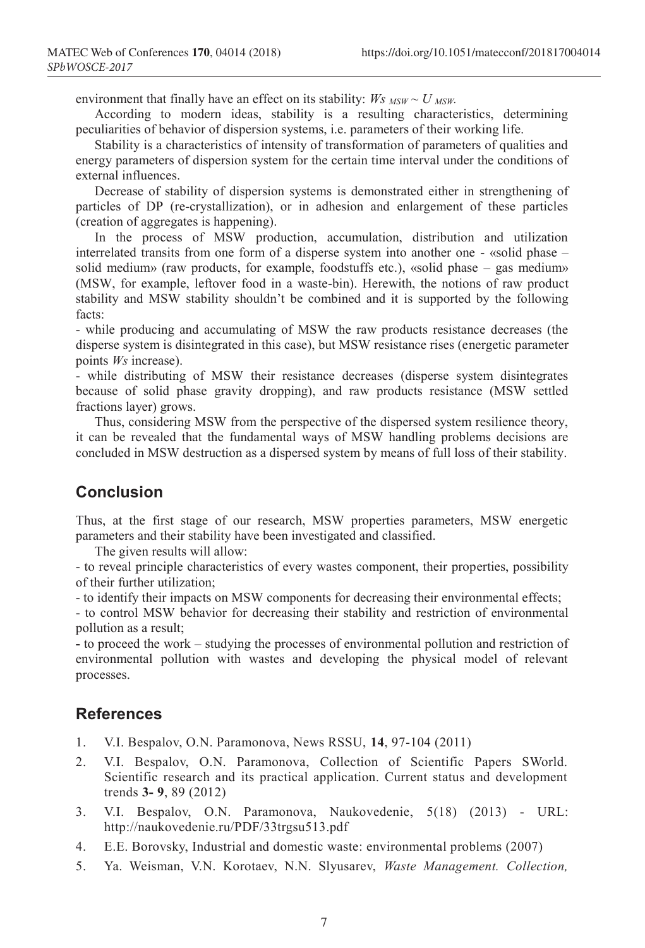environment that finally have an effect on its stability:  $W_s$   $_{MSW} \sim U_{MSW}$ .

According to modern ideas, stability is a resulting characteristics, determining peculiarities of behavior of dispersion systems, i.e. parameters of their working life.

Stability is a characteristics of intensity of transformation of parameters of qualities and energy parameters of dispersion system for the certain time interval under the conditions of external influences.

Decrease of stability of dispersion systems is demonstrated either in strengthening of particles of DP (re-crystallization), or in adhesion and enlargement of these particles (creation of aggregates is happening).

In the process of MSW production, accumulation, distribution and utilization interrelated transits from one form of a disperse system into another one - «solid phase – solid medium» (raw products, for example, foodstuffs etc.), «solid phase – gas medium» (MSW, for example, leftover food in a waste-bin). Herewith, the notions of raw product stability and MSW stability shouldn't be combined and it is supported by the following facts:

- while producing and accumulating of MSW the raw products resistance decreases (the disperse system is disintegrated in this case), but MSW resistance rises (energetic parameter points *Ws* increase).

- while distributing of MSW their resistance decreases (disperse system disintegrates because of solid phase gravity dropping), and raw products resistance (MSW settled fractions layer) grows.

Thus, considering MSW from the perspective of the dispersed system resilience theory, it can be revealed that the fundamental ways of MSW handling problems decisions are concluded in MSW destruction as a dispersed system by means of full loss of their stability.

### **Conclusion**

Thus, at the first stage of our research, MSW properties parameters, MSW energetic parameters and their stability have been investigated and classified.

The given results will allow:

- to reveal principle characteristics of every wastes component, their properties, possibility of their further utilization;

- to identify their impacts on MSW components for decreasing their environmental effects;

- to control MSW behavior for decreasing their stability and restriction of environmental pollution as a result;

**-** to proceed the work – studying the processes of environmental pollution and restriction of environmental pollution with wastes and developing the physical model of relevant processes.

### **References**

- 1. V.I. Bespalov, O.N. Paramonova, News RSSU, **14**, 97-104 (2011)
- 2. V.I. Bespalov, O.N. Paramonova, Collection of Scientific Papers SWorld. Scientific research and its practical application. Current status and development trends **3- 9**, 89 (2012)
- 3. V.I. Bespalov, O.N. Paramonova, Naukovedenie, 5(18) (2013) URL: http://naukovedenie.ru/PDF/33trgsu513.pdf
- 4. E.E. Borovsky, Industrial and domestic waste: environmental problems (2007)
- 5. Ya. Weisman, V.N. Korotaev, N.N. Slyusarev, *Waste Management. Collection,*